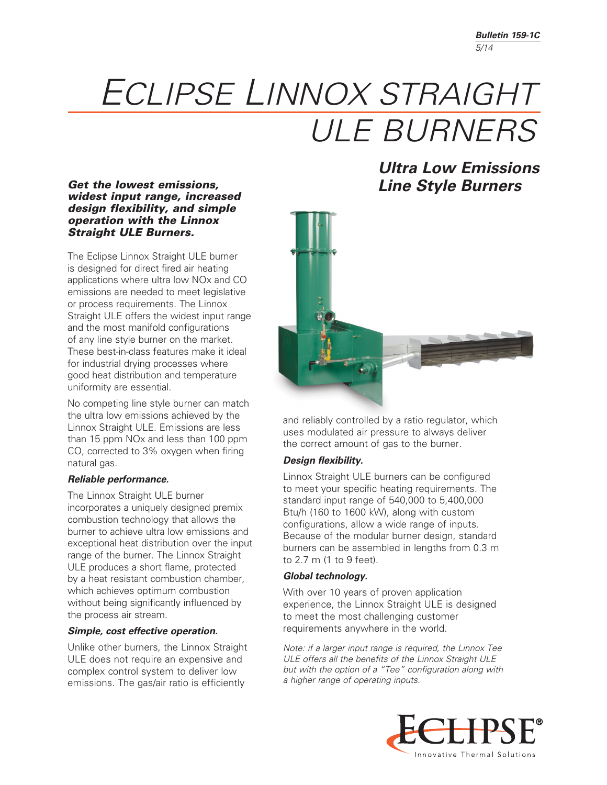# *ECLIPSE LINNOX STRAIGHT ULE BURNERS*

#### *Get the lowest emissions, widest input range, increased design flexibility, and simple operation with the Linnox Straight ULE Burners.*

The Eclipse Linnox Straight ULE burner is designed for direct fired air heating applications where ultra low NOx and CO emissions are needed to meet legislative or process requirements. The Linnox Straight ULE offers the widest input range and the most manifold configurations of any line style burner on the market. These best-in-class features make it ideal for industrial drying processes where good heat distribution and temperature uniformity are essential.

No competing line style burner can match the ultra low emissions achieved by the Linnox Straight ULE. Emissions are less than 15 ppm NOx and less than 100 ppm CO, corrected to 3% oxygen when firing natural gas.

#### *Reliable performance.*

The Linnox Straight ULE burner incorporates a uniquely designed premix combustion technology that allows the burner to achieve ultra low emissions and exceptional heat distribution over the input range of the burner. The Linnox Straight ULE produces a short flame, protected by a heat resistant combustion chamber, which achieves optimum combustion without being significantly influenced by the process air stream.

#### *Simple, cost effective operation.*

Unlike other burners, the Linnox Straight ULE does not require an expensive and complex control system to deliver low emissions. The gas/air ratio is efficiently

*Ultra Low Emissions Line Style Burners*



and reliably controlled by a ratio regulator, which uses modulated air pressure to always deliver the correct amount of gas to the burner.

#### *Design flexibility.*

Linnox Straight ULE burners can be configured to meet your specific heating requirements. The standard input range of 540,000 to 5,400,000 Btu/h (160 to 1600 kW), along with custom configurations, allow a wide range of inputs. Because of the modular burner design, standard burners can be assembled in lengths from 0.3 m to 2.7 m (1 to 9 feet).

#### *Global technology.*

With over 10 years of proven application experience, the Linnox Straight ULE is designed to meet the most challenging customer requirements anywhere in the world.

*Note: if a larger input range is required, the Linnox Tee ULE offers all the benefits of the Linnox Straight ULE but with the option of a "Tee" configuration along with a higher range of operating inputs.*